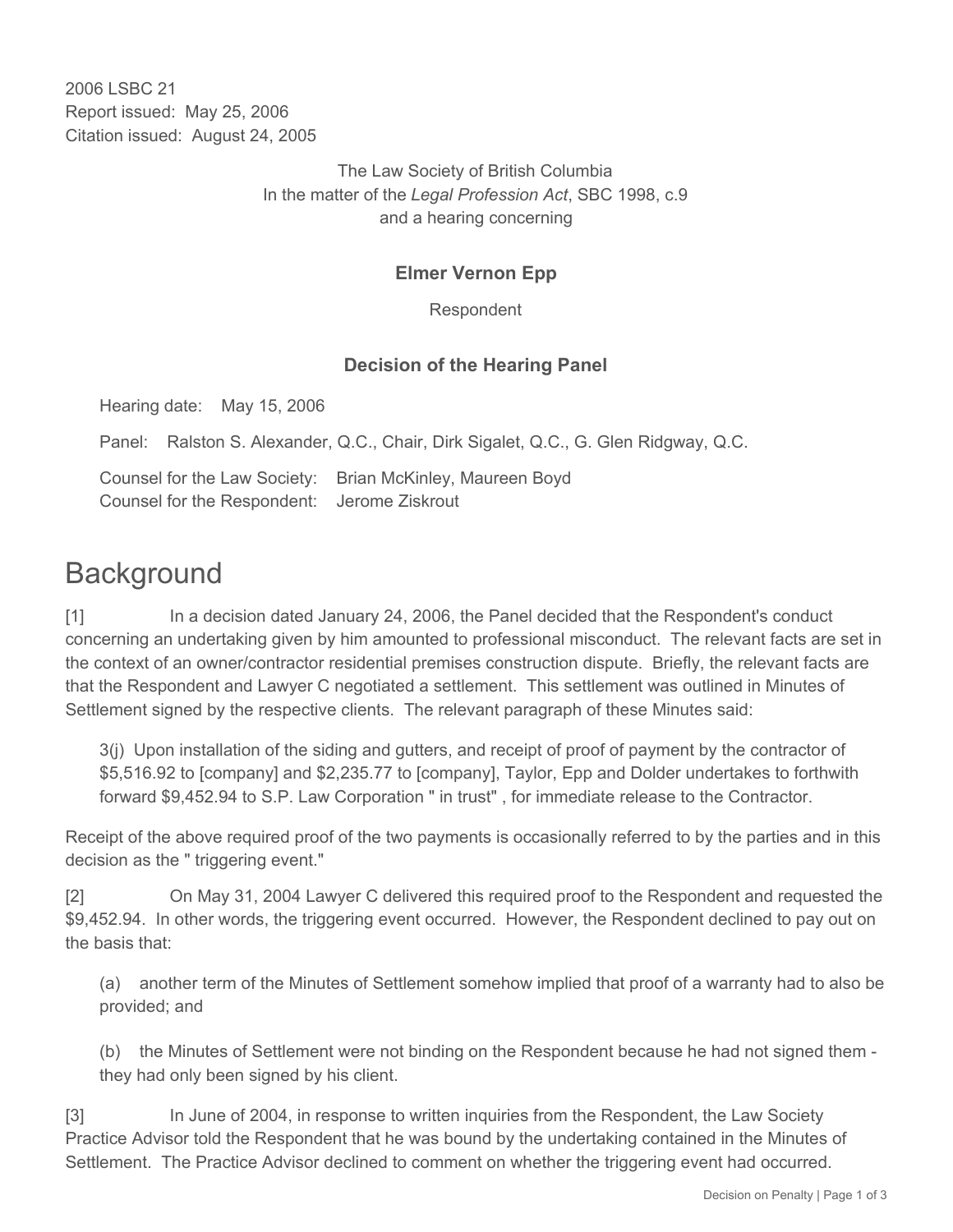2006 LSBC 21 Report issued: May 25, 2006 Citation issued: August 24, 2005

> The Law Society of British Columbia In the matter of the *Legal Profession Act*, SBC 1998, c.9 and a hearing concerning

## **Elmer Vernon Epp**

Respondent

#### **Decision of the Hearing Panel**

Hearing date: May 15, 2006

Panel: Ralston S. Alexander, Q.C., Chair, Dirk Sigalet, Q.C., G. Glen Ridgway, Q.C.

Counsel for the Law Society: Brian McKinley, Maureen Boyd Counsel for the Respondent: Jerome Ziskrout

# **Background**

[1] In a decision dated January 24, 2006, the Panel decided that the Respondent's conduct concerning an undertaking given by him amounted to professional misconduct. The relevant facts are set in the context of an owner/contractor residential premises construction dispute. Briefly, the relevant facts are that the Respondent and Lawyer C negotiated a settlement. This settlement was outlined in Minutes of Settlement signed by the respective clients. The relevant paragraph of these Minutes said:

3(j) Upon installation of the siding and gutters, and receipt of proof of payment by the contractor of \$5,516.92 to [company] and \$2,235.77 to [company], Taylor, Epp and Dolder undertakes to forthwith forward \$9,452.94 to S.P. Law Corporation " in trust" , for immediate release to the Contractor.

Receipt of the above required proof of the two payments is occasionally referred to by the parties and in this decision as the " triggering event."

[2] On May 31, 2004 Lawyer C delivered this required proof to the Respondent and requested the \$9,452.94. In other words, the triggering event occurred. However, the Respondent declined to pay out on the basis that:

(a) another term of the Minutes of Settlement somehow implied that proof of a warranty had to also be provided; and

(b) the Minutes of Settlement were not binding on the Respondent because he had not signed them they had only been signed by his client.

[3] In June of 2004, in response to written inquiries from the Respondent, the Law Society Practice Advisor told the Respondent that he was bound by the undertaking contained in the Minutes of Settlement. The Practice Advisor declined to comment on whether the triggering event had occurred.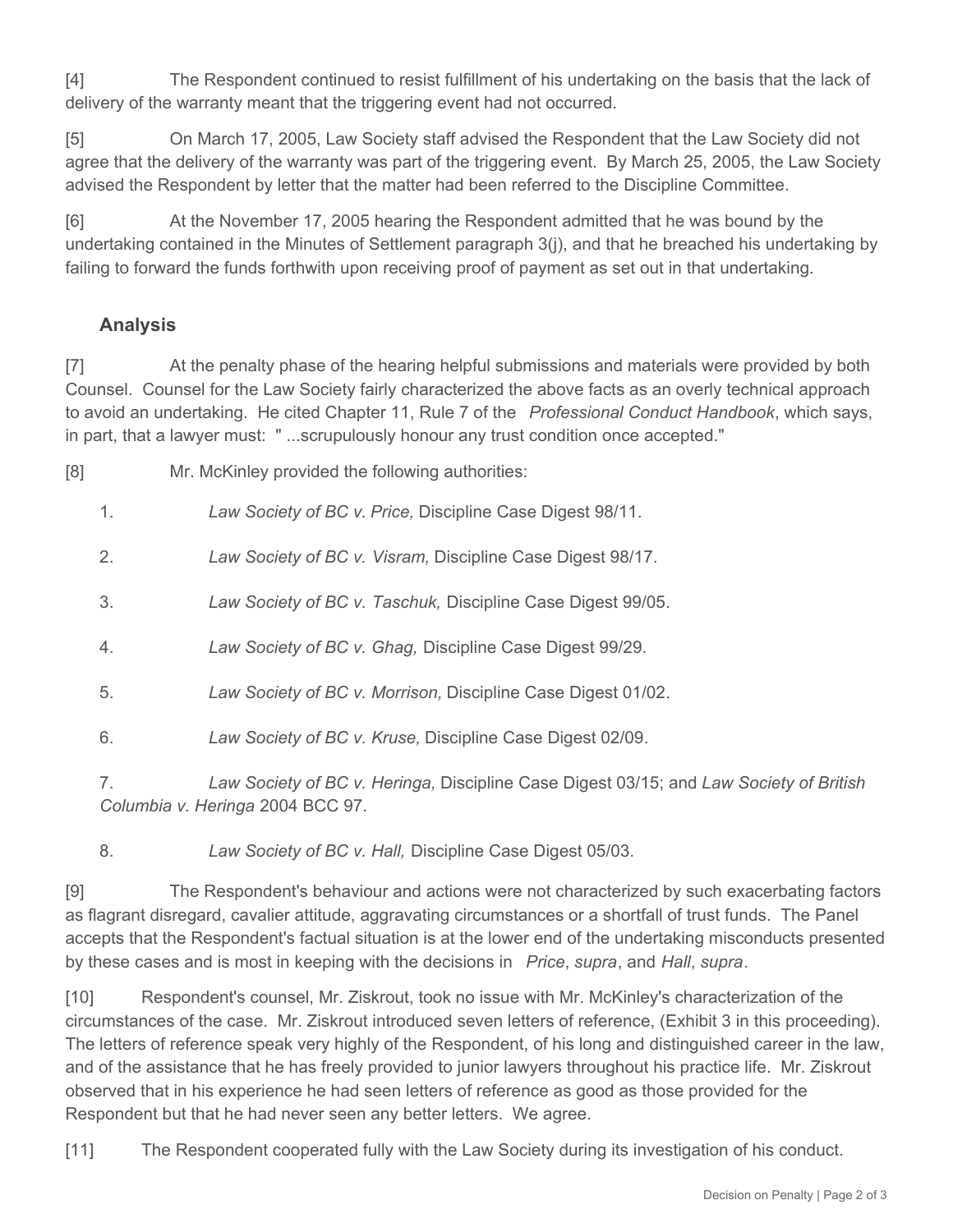[4] The Respondent continued to resist fulfillment of his undertaking on the basis that the lack of delivery of the warranty meant that the triggering event had not occurred.

[5] On March 17, 2005, Law Society staff advised the Respondent that the Law Society did not agree that the delivery of the warranty was part of the triggering event. By March 25, 2005, the Law Society advised the Respondent by letter that the matter had been referred to the Discipline Committee.

[6] At the November 17, 2005 hearing the Respondent admitted that he was bound by the undertaking contained in the Minutes of Settlement paragraph 3(j), and that he breached his undertaking by failing to forward the funds forthwith upon receiving proof of payment as set out in that undertaking.

# **Analysis**

[7] At the penalty phase of the hearing helpful submissions and materials were provided by both Counsel. Counsel for the Law Society fairly characterized the above facts as an overly technical approach to avoid an undertaking. He cited Chapter 11, Rule 7 of the *Professional Conduct Handbook*, which says, in part, that a lawyer must: " ...scrupulously honour any trust condition once accepted."

[8] Mr. McKinley provided the following authorities:

1. *Law Society of BC v. Price,* Discipline Case Digest 98/11.

- 2. *Law Society of BC v. Visram,* Discipline Case Digest 98/17.
- 3. *Law Society of BC v. Taschuk,* Discipline Case Digest 99/05.
- 4. *Law Society of BC v. Ghag,* Discipline Case Digest 99/29.
- 5. *Law Society of BC v. Morrison,* Discipline Case Digest 01/02.
- 6. *Law Society of BC v. Kruse,* Discipline Case Digest 02/09.
- 7. *Law Society of BC v. Heringa,* Discipline Case Digest 03/15; and *Law Society of British Columbia v. Heringa* 2004 BCC 97.
- 8. *Law Society of BC v. Hall,* Discipline Case Digest 05/03.

[9] The Respondent's behaviour and actions were not characterized by such exacerbating factors as flagrant disregard, cavalier attitude, aggravating circumstances or a shortfall of trust funds. The Panel accepts that the Respondent's factual situation is at the lower end of the undertaking misconducts presented by these cases and is most in keeping with the decisions in *Price*, *supra*, and *Hall*, *supra*.

[10] Respondent's counsel, Mr. Ziskrout, took no issue with Mr. McKinley's characterization of the circumstances of the case. Mr. Ziskrout introduced seven letters of reference, (Exhibit 3 in this proceeding). The letters of reference speak very highly of the Respondent, of his long and distinguished career in the law, and of the assistance that he has freely provided to junior lawyers throughout his practice life. Mr. Ziskrout observed that in his experience he had seen letters of reference as good as those provided for the Respondent but that he had never seen any better letters. We agree.

[11] The Respondent cooperated fully with the Law Society during its investigation of his conduct.